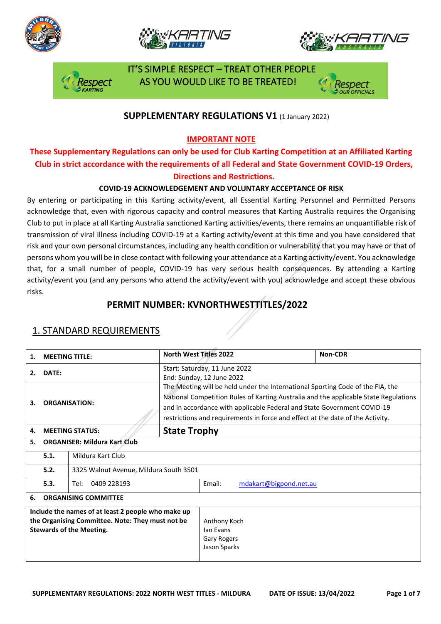







 IT'S SIMPLE RESPECT – TREAT OTHER PEOPLE AS YOU WOULD LIKE TO BE TREATED!

#### **SUPPLEMENTARY REGULATIONS V1** (1 January 2022)

**IMPORTANT NOTE**

### **These Supplementary Regulations can only be used for Club Karting Competition at an Affiliated Karting Club in strict accordance with the requirements of all Federal and State Government COVID-19 Orders, Directions and Restrictions.**

#### **COVID-19 ACKNOWLEDGEMENT AND VOLUNTARY ACCEPTANCE OF RISK**

By entering or participating in this Karting activity/event, all Essential Karting Personnel and Permitted Persons acknowledge that, even with rigorous capacity and control measures that Karting Australia requires the Organising Club to put in place at all Karting Australia sanctioned Karting activities/events, there remains an unquantifiable risk of transmission of viral illness including COVID-19 at a Karting activity/event at this time and you have considered that risk and your own personal circumstances, including any health condition or vulnerability that you may have or that of persons whom you will be in close contact with following your attendance at a Karting activity/event. You acknowledge that, for a small number of people, COVID-19 has very serious health consequences. By attending a Karting activity/event you (and any persons who attend the activity/event with you) acknowledge and accept these obvious risks.

### **PERMIT NUMBER: KVNORTHWESTTITLES/2022**

| 1.                                                                                                                                        | <b>MEETING TITLE:</b>                          |                     |                                                                                                                                                                                                                                                                                                                                     |                     | <b>North West Titles 2022</b>                              |                        | Non-CDR |  |
|-------------------------------------------------------------------------------------------------------------------------------------------|------------------------------------------------|---------------------|-------------------------------------------------------------------------------------------------------------------------------------------------------------------------------------------------------------------------------------------------------------------------------------------------------------------------------------|---------------------|------------------------------------------------------------|------------------------|---------|--|
| 2.                                                                                                                                        | DATE:                                          |                     |                                                                                                                                                                                                                                                                                                                                     |                     | Start: Saturday, 11 June 2022<br>End: Sunday, 12 June 2022 |                        |         |  |
| <b>ORGANISATION:</b><br>3.                                                                                                                |                                                |                     | The Meeting will be held under the International Sporting Code of the FIA, the<br>National Competition Rules of Karting Australia and the applicable State Regulations<br>and in accordance with applicable Federal and State Government COVID-19<br>restrictions and requirements in force and effect at the date of the Activity. |                     |                                                            |                        |         |  |
| 4.                                                                                                                                        | <b>MEETING STATUS:</b>                         |                     |                                                                                                                                                                                                                                                                                                                                     | <b>State Trophy</b> |                                                            |                        |         |  |
| 5.                                                                                                                                        | <b>ORGANISER: Mildura Kart Club</b>            |                     |                                                                                                                                                                                                                                                                                                                                     |                     |                                                            |                        |         |  |
|                                                                                                                                           | 5.1.                                           | Mildura Kart Club   |                                                                                                                                                                                                                                                                                                                                     |                     |                                                            |                        |         |  |
|                                                                                                                                           | 5.2.<br>3325 Walnut Avenue, Mildura South 3501 |                     |                                                                                                                                                                                                                                                                                                                                     |                     |                                                            |                        |         |  |
|                                                                                                                                           | 5.3.                                           | 0409 228193<br>Tel: |                                                                                                                                                                                                                                                                                                                                     |                     | Email:                                                     | mdakart@bigpond.net.au |         |  |
| 6.                                                                                                                                        | <b>ORGANISING COMMITTEE</b>                    |                     |                                                                                                                                                                                                                                                                                                                                     |                     |                                                            |                        |         |  |
| Include the names of at least 2 people who make up<br>the Organising Committee. Note: They must not be<br><b>Stewards of the Meeting.</b> |                                                |                     |                                                                                                                                                                                                                                                                                                                                     |                     | Anthony Koch<br>lan Evans<br>Gary Rogers<br>Jason Sparks   |                        |         |  |

#### 1. STANDARD REQUIREMENTS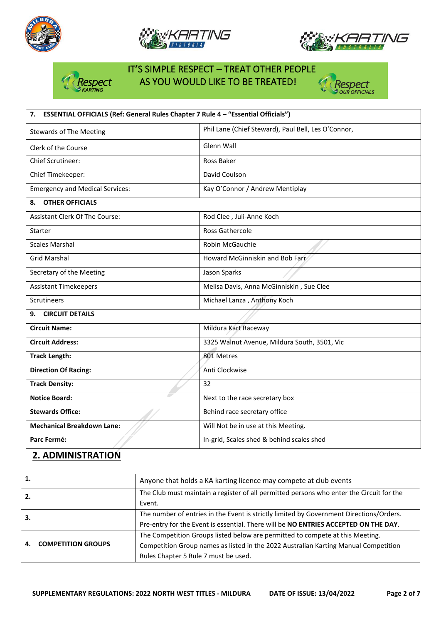







# IT'S SIMPLE RESPECT – TREAT OTHER PEOPLE espect AS YOU WOULD LIKE TO BE TREATED!



| ESSENTIAL OFFICIALS (Ref: General Rules Chapter 7 Rule 4 - "Essential Officials")<br>7. |                                                     |  |  |  |
|-----------------------------------------------------------------------------------------|-----------------------------------------------------|--|--|--|
| <b>Stewards of The Meeting</b>                                                          | Phil Lane (Chief Steward), Paul Bell, Les O'Connor, |  |  |  |
| Clerk of the Course                                                                     | Glenn Wall                                          |  |  |  |
| <b>Chief Scrutineer:</b>                                                                | Ross Baker                                          |  |  |  |
| Chief Timekeeper:                                                                       | David Coulson                                       |  |  |  |
| <b>Emergency and Medical Services:</b>                                                  | Kay O'Connor / Andrew Mentiplay                     |  |  |  |
| <b>OTHER OFFICIALS</b><br>8.                                                            |                                                     |  |  |  |
| <b>Assistant Clerk Of The Course:</b>                                                   | Rod Clee, Juli-Anne Koch                            |  |  |  |
| Starter                                                                                 | <b>Ross Gathercole</b>                              |  |  |  |
| <b>Scales Marshal</b>                                                                   | Robin McGauchie                                     |  |  |  |
| <b>Grid Marshal</b>                                                                     | Howard McGinniskin and Bob Farr                     |  |  |  |
| Secretary of the Meeting                                                                | Jason Sparks                                        |  |  |  |
| <b>Assistant Timekeepers</b>                                                            | Melisa Davis, Anna McGinniskin, Sue Clee            |  |  |  |
| <b>Scrutineers</b>                                                                      | Michael Lanza, Anthony Koch                         |  |  |  |
| <b>CIRCUIT DETAILS</b><br>9.                                                            |                                                     |  |  |  |
| <b>Circuit Name:</b>                                                                    | Mildura Kart Raceway                                |  |  |  |
| <b>Circuit Address:</b>                                                                 | 3325 Walnut Avenue, Mildura South, 3501, Vic        |  |  |  |
| <b>Track Length:</b>                                                                    | 801 Metres                                          |  |  |  |
| <b>Direction Of Racing:</b>                                                             | Anti Clockwise                                      |  |  |  |
| <b>Track Density:</b>                                                                   | 32                                                  |  |  |  |
| <b>Notice Board:</b>                                                                    | Next to the race secretary box                      |  |  |  |
| <b>Stewards Office:</b>                                                                 | Behind race secretary office                        |  |  |  |
| <b>Mechanical Breakdown Lane:</b>                                                       | Will Not be in use at this Meeting.                 |  |  |  |
| Parc Fermé:                                                                             | In-grid, Scales shed & behind scales shed           |  |  |  |

# **2. ADMINISTRATION**

| 1. |                           | Anyone that holds a KA karting licence may compete at club events                                                                                                                                            |
|----|---------------------------|--------------------------------------------------------------------------------------------------------------------------------------------------------------------------------------------------------------|
| 2. |                           | The Club must maintain a register of all permitted persons who enter the Circuit for the<br>Event.                                                                                                           |
| 3. |                           | The number of entries in the Event is strictly limited by Government Directions/Orders.<br>Pre-entry for the Event is essential. There will be NO ENTRIES ACCEPTED ON THE DAY.                               |
| 4. | <b>COMPETITION GROUPS</b> | The Competition Groups listed below are permitted to compete at this Meeting.<br>Competition Group names as listed in the 2022 Australian Karting Manual Competition<br>Rules Chapter 5 Rule 7 must be used. |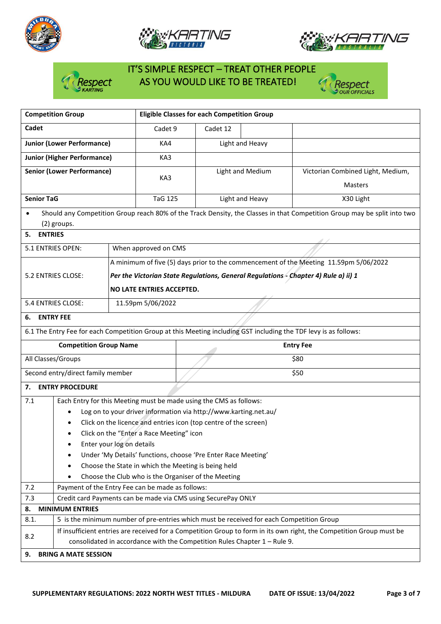





# IT'S SIMPLE RESPECT – TREAT OTHER PEOPLE espect AS YOU WOULD LIKE TO BE TREATED!



| <b>Competition Group</b>                                                                                             |                                                                    | <b>Eligible Classes for each Competition Group</b>                        |          |                  |                                                                                                                          |  |  |
|----------------------------------------------------------------------------------------------------------------------|--------------------------------------------------------------------|---------------------------------------------------------------------------|----------|------------------|--------------------------------------------------------------------------------------------------------------------------|--|--|
| Cadet                                                                                                                |                                                                    | Cadet 9                                                                   | Cadet 12 |                  |                                                                                                                          |  |  |
| <b>Junior (Lower Performance)</b>                                                                                    |                                                                    | KA4                                                                       |          | Light and Heavy  |                                                                                                                          |  |  |
| <b>Junior (Higher Performance)</b>                                                                                   |                                                                    | KA3                                                                       |          |                  |                                                                                                                          |  |  |
| <b>Senior (Lower Performance)</b>                                                                                    |                                                                    | KA3                                                                       |          | Light and Medium | Victorian Combined Light, Medium,<br><b>Masters</b>                                                                      |  |  |
| <b>Senior TaG</b>                                                                                                    |                                                                    | <b>TaG 125</b>                                                            |          | Light and Heavy  | X30 Light                                                                                                                |  |  |
| $\bullet$<br>(2) groups.                                                                                             |                                                                    |                                                                           |          |                  | Should any Competition Group reach 80% of the Track Density, the Classes in that Competition Group may be split into two |  |  |
| <b>ENTRIES</b><br>5.                                                                                                 |                                                                    |                                                                           |          |                  |                                                                                                                          |  |  |
| 5.1 ENTRIES OPEN:                                                                                                    |                                                                    | When approved on CMS                                                      |          |                  |                                                                                                                          |  |  |
|                                                                                                                      |                                                                    |                                                                           |          |                  | A minimum of five (5) days prior to the commencement of the Meeting 11.59pm 5/06/2022                                    |  |  |
| 5.2 ENTRIES CLOSE:                                                                                                   |                                                                    |                                                                           |          |                  | Per the Victorian State Regulations, General Regulations - Chapter 4) Rule a) ii) 1                                      |  |  |
|                                                                                                                      |                                                                    | NO LATE ENTRIES ACCEPTED.                                                 |          |                  |                                                                                                                          |  |  |
| 5.4 ENTRIES CLOSE:                                                                                                   |                                                                    | 11.59pm 5/06/2022                                                         |          |                  |                                                                                                                          |  |  |
| <b>ENTRY FEE</b><br>6.                                                                                               |                                                                    |                                                                           |          |                  |                                                                                                                          |  |  |
|                                                                                                                      |                                                                    |                                                                           |          |                  | 6.1 The Entry Fee for each Competition Group at this Meeting including GST including the TDF levy is as follows:         |  |  |
| <b>Competition Group Name</b>                                                                                        |                                                                    |                                                                           |          |                  | <b>Entry Fee</b>                                                                                                         |  |  |
| All Classes/Groups                                                                                                   |                                                                    |                                                                           | \$80     |                  |                                                                                                                          |  |  |
| Second entry/direct family member                                                                                    |                                                                    |                                                                           |          |                  | \$50                                                                                                                     |  |  |
| <b>ENTRY PROCEDURE</b><br>7.                                                                                         |                                                                    |                                                                           |          |                  |                                                                                                                          |  |  |
| 7.1                                                                                                                  | Each Entry for this Meeting must be made using the CMS as follows: |                                                                           |          |                  |                                                                                                                          |  |  |
| ٠                                                                                                                    |                                                                    | Log on to your driver information via http://www.karting.net.au/          |          |                  |                                                                                                                          |  |  |
|                                                                                                                      |                                                                    | Click on the licence and entries icon (top centre of the screen)          |          |                  |                                                                                                                          |  |  |
| $\bullet$                                                                                                            |                                                                    | Click on the "Enter a Race Meeting" icon                                  |          |                  |                                                                                                                          |  |  |
| ٠                                                                                                                    | Enter your log on details                                          |                                                                           |          |                  |                                                                                                                          |  |  |
| Under 'My Details' functions, choose 'Pre Enter Race Meeting'<br>Choose the State in which the Meeting is being held |                                                                    |                                                                           |          |                  |                                                                                                                          |  |  |
|                                                                                                                      |                                                                    | Choose the Club who is the Organiser of the Meeting                       |          |                  |                                                                                                                          |  |  |
| 7.2                                                                                                                  | Payment of the Entry Fee can be made as follows:                   |                                                                           |          |                  |                                                                                                                          |  |  |
| 7.3                                                                                                                  | Credit card Payments can be made via CMS using SecurePay ONLY      |                                                                           |          |                  |                                                                                                                          |  |  |
| <b>MINIMUM ENTRIES</b><br>8.                                                                                         |                                                                    |                                                                           |          |                  |                                                                                                                          |  |  |
| 5 is the minimum number of pre-entries which must be received for each Competition Group<br>8.1.                     |                                                                    |                                                                           |          |                  |                                                                                                                          |  |  |
| 8.2                                                                                                                  |                                                                    | consolidated in accordance with the Competition Rules Chapter 1 - Rule 9. |          |                  | If insufficient entries are received for a Competition Group to form in its own right, the Competition Group must be     |  |  |
| <b>BRING A MATE SESSION</b><br>9.                                                                                    |                                                                    |                                                                           |          |                  |                                                                                                                          |  |  |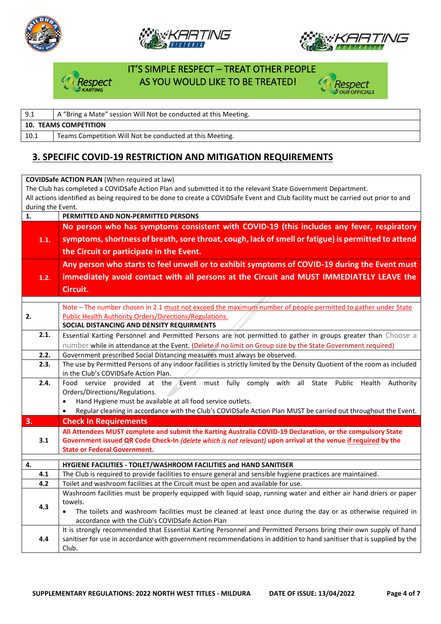





#### IT'S SIMPLE RESPECT – TREAT OTHER PEOPLE AS YOU WOULD LIKE TO BE TREATED!

| A "Bring a Mate" session Will Not be conducted at this Meeting.<br>9.1 |                                                          |  |  |
|------------------------------------------------------------------------|----------------------------------------------------------|--|--|
| <b>10. TEAMS COMPETITION</b>                                           |                                                          |  |  |
| 10.1                                                                   | Teams Competition Will Not be conducted at this Meeting. |  |  |

# **3. SPECIFIC COVID-19 RESTRICTION AND MITIGATION REQUIREMENTS**

**COVIDSafe ACTION PLAN** (When required at law) The Club has completed a COVIDSafe Action Plan and submitted it to the relevant State Government Department. All actions identified as being required to be done to create a COVIDSafe Event and Club facility must be carried out prior to and during the Event. **1. PERMITTED AND NON-PERMITTED PERSONS 1.1. No person who has symptoms consistent with COVID-19 (this includes any fever, respiratory symptoms, shortness of breath, sore throat, cough, lack of smell or fatigue) is permitted to attend the Circuit or participate in the Event. 1.2. Any person who starts to feel unwell or to exhibit symptoms of COVID-19 during the Event must immediately avoid contact with all persons at the Circuit and MUST IMMEDIATELY LEAVE the Circuit. 2.** Note – The number chosen in 2.1 must not exceed the maximum number of people permitted to gather under State Public Health Authority Orders/Directions/Regulations. **SOCIAL DISTANCING AND DENSITY REQUIRMENTS**  2.1. | Essential Karting Personnel and Permitted Persons are not permitted to gather in groups greater than Choose a number while in attendance at the Event. (Delete if no limit on Group size by the State Government required) **2.2.** Government prescribed Social Distancing measures must always be observed. **2.3.** The use by Permitted Persons of any indoor facilities is strictly limited by the Density Quotient of the room as included in the Club's COVIDSafe Action Plan. **2.4.** Food service provided at the Event must fully comply with all State Public Health Authority Orders/Directions/Regulations. • Hand Hygiene must be available at all food service outlets. • Regular cleaning in accordance with the Club's COVIDSafe Action Plan MUST be carried out throughout the Event. **3. Check In Requirements 3.1 All Attendees MUST complete and submit the Karting Australia COVID-19 Declaration, or the compulsory State Government issued QR Code Check-In** *(delete which is not relevant)* **upon arrival at the venue if required by the State or Federal Government. 4. HYGIENE FACILITIES - TOILET/WASHROOM FACILITIES and HAND SANITISER 4.1** The Club is required to provide facilities to ensure general and sensible hygiene practices are maintained. **4.2** Toilet and washroom facilities at the Circuit must be open and available for use. **4.3** Washroom facilities must be properly equipped with liquid soap, running water and either air hand driers or paper towels. The toilets and washroom facilities must be cleaned at least once during the day or as otherwise required in accordance with the Club's COVIDSafe Action Plan **4.4** It is strongly recommended that Essential Karting Personnel and Permitted Persons bring their own supply of hand sanitiser for use in accordance with government recommendations in addition to hand sanitiser that is supplied by the Club.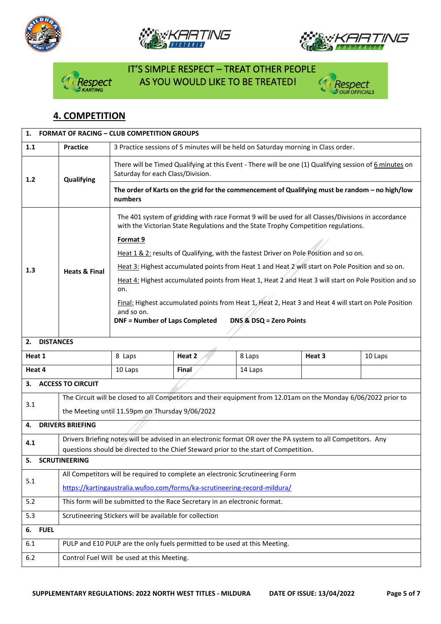







# IT'S SIMPLE RESPECT – TREAT OTHER PEOPLE spect AS YOU WOULD LIKE TO BE TREATED!



# **4. COMPETITION**

| 1.<br><b>FORMAT OF RACING - CLUB COMPETITION GROUPS</b> |                                                                                                                                                                                                      |                                                                                                                                                                                          |        |         |                                                                                                  |         |  |  |  |
|---------------------------------------------------------|------------------------------------------------------------------------------------------------------------------------------------------------------------------------------------------------------|------------------------------------------------------------------------------------------------------------------------------------------------------------------------------------------|--------|---------|--------------------------------------------------------------------------------------------------|---------|--|--|--|
| 1.1                                                     | <b>Practice</b>                                                                                                                                                                                      | 3 Practice sessions of 5 minutes will be held on Saturday morning in Class order.                                                                                                        |        |         |                                                                                                  |         |  |  |  |
| 1.2                                                     | Qualifying                                                                                                                                                                                           | There will be Timed Qualifying at this Event - There will be one (1) Qualifying session of 6 minutes on<br>Saturday for each Class/Division.                                             |        |         |                                                                                                  |         |  |  |  |
|                                                         |                                                                                                                                                                                                      | The order of Karts on the grid for the commencement of Qualifying must be random - no high/low<br>numbers                                                                                |        |         |                                                                                                  |         |  |  |  |
|                                                         |                                                                                                                                                                                                      | The 401 system of gridding with race Format 9 will be used for all Classes/Divisions in accordance<br>with the Victorian State Regulations and the State Trophy Competition regulations. |        |         |                                                                                                  |         |  |  |  |
|                                                         |                                                                                                                                                                                                      | Format 9                                                                                                                                                                                 |        |         |                                                                                                  |         |  |  |  |
|                                                         |                                                                                                                                                                                                      |                                                                                                                                                                                          |        |         | Heat 1 & 2: results of Qualifying, with the fastest Driver on Pole Position and so on.           |         |  |  |  |
| 1.3                                                     | <b>Heats &amp; Final</b>                                                                                                                                                                             |                                                                                                                                                                                          |        |         | Heat 3: Highest accumulated points from Heat 1 and Heat 2 will start on Pole Position and so on. |         |  |  |  |
|                                                         |                                                                                                                                                                                                      | Heat 4: Highest accumulated points from Heat 1, Heat 2 and Heat 3 will start on Pole Position and so<br>on.                                                                              |        |         |                                                                                                  |         |  |  |  |
|                                                         |                                                                                                                                                                                                      | Final: Highest accumulated points from Heat 1, Heat 2, Heat 3 and Heat 4 will start on Pole Position<br>and so on.<br><b>DNF = Number of Laps Completed</b><br>DNS & DSQ = Zero Points   |        |         |                                                                                                  |         |  |  |  |
| <b>DISTANCES</b><br>2.                                  |                                                                                                                                                                                                      |                                                                                                                                                                                          |        |         |                                                                                                  |         |  |  |  |
| Heat 1                                                  |                                                                                                                                                                                                      | 8 Laps                                                                                                                                                                                   | Heat 2 | 8 Laps  | Heat 3                                                                                           | 10 Laps |  |  |  |
| Heat 4                                                  |                                                                                                                                                                                                      | 10 Laps                                                                                                                                                                                  | Final  | 14 Laps |                                                                                                  |         |  |  |  |
| <b>ACCESS TO CIRCUIT</b><br>3.                          |                                                                                                                                                                                                      |                                                                                                                                                                                          |        |         |                                                                                                  |         |  |  |  |
| 3.1                                                     | The Circuit will be closed to all Competitors and their equipment from 12.01am on the Monday 6/06/2022 prior to                                                                                      |                                                                                                                                                                                          |        |         |                                                                                                  |         |  |  |  |
|                                                         | the Meeting until 11.59pm on Thursday 9/06/2022                                                                                                                                                      |                                                                                                                                                                                          |        |         |                                                                                                  |         |  |  |  |
| <b>DRIVERS BRIEFING</b><br>4.                           |                                                                                                                                                                                                      |                                                                                                                                                                                          |        |         |                                                                                                  |         |  |  |  |
| 4.1                                                     | Drivers Briefing notes will be advised in an electronic format OR over the PA system to all Competitors. Any<br>questions should be directed to the Chief Steward prior to the start of Competition. |                                                                                                                                                                                          |        |         |                                                                                                  |         |  |  |  |
| <b>SCRUTINEERING</b>                                    |                                                                                                                                                                                                      |                                                                                                                                                                                          |        |         |                                                                                                  |         |  |  |  |
| 5.1                                                     | All Competitors will be required to complete an electronic Scrutineering Form                                                                                                                        |                                                                                                                                                                                          |        |         |                                                                                                  |         |  |  |  |
|                                                         | https://kartingaustralia.wufoo.com/forms/ka-scrutineering-record-mildura/                                                                                                                            |                                                                                                                                                                                          |        |         |                                                                                                  |         |  |  |  |
| 5.2                                                     | This form will be submitted to the Race Secretary in an electronic format.                                                                                                                           |                                                                                                                                                                                          |        |         |                                                                                                  |         |  |  |  |
| 5.3                                                     | Scrutineering Stickers will be available for collection                                                                                                                                              |                                                                                                                                                                                          |        |         |                                                                                                  |         |  |  |  |
| <b>FUEL</b><br>6.                                       |                                                                                                                                                                                                      |                                                                                                                                                                                          |        |         |                                                                                                  |         |  |  |  |
| 6.1                                                     | PULP and E10 PULP are the only fuels permitted to be used at this Meeting.                                                                                                                           |                                                                                                                                                                                          |        |         |                                                                                                  |         |  |  |  |
| $6.2$                                                   | Control Fuel Will be used at this Meeting.                                                                                                                                                           |                                                                                                                                                                                          |        |         |                                                                                                  |         |  |  |  |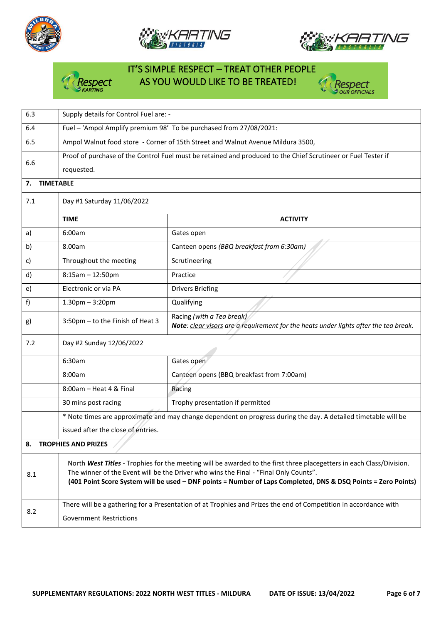





Respect **OUR OFFICIALS** 

#### IT'S SIMPLE RESPECT – TREAT OTHER PEOPLE espect AS YOU WOULD LIKE TO BE TREATED! v

| 6.3                              | Supply details for Control Fuel are: -                                                                                                                                                                                                                                                                                        |                                                                                                                   |  |  |  |
|----------------------------------|-------------------------------------------------------------------------------------------------------------------------------------------------------------------------------------------------------------------------------------------------------------------------------------------------------------------------------|-------------------------------------------------------------------------------------------------------------------|--|--|--|
| 6.4                              | Fuel - 'Ampol Amplify premium 98' To be purchased from 27/08/2021:                                                                                                                                                                                                                                                            |                                                                                                                   |  |  |  |
| 6.5                              | Ampol Walnut food store - Corner of 15th Street and Walnut Avenue Mildura 3500,                                                                                                                                                                                                                                               |                                                                                                                   |  |  |  |
| 6.6                              | Proof of purchase of the Control Fuel must be retained and produced to the Chief Scrutineer or Fuel Tester if<br>requested.                                                                                                                                                                                                   |                                                                                                                   |  |  |  |
| <b>TIMETABLE</b><br>7.           |                                                                                                                                                                                                                                                                                                                               |                                                                                                                   |  |  |  |
| 7.1                              | Day #1 Saturday 11/06/2022                                                                                                                                                                                                                                                                                                    |                                                                                                                   |  |  |  |
|                                  | <b>TIME</b>                                                                                                                                                                                                                                                                                                                   | <b>ACTIVITY</b>                                                                                                   |  |  |  |
| a)                               | 6:00am                                                                                                                                                                                                                                                                                                                        | Gates open                                                                                                        |  |  |  |
| b)                               | 8.00am                                                                                                                                                                                                                                                                                                                        | Canteen opens (BBQ breakfast from 6:30am)                                                                         |  |  |  |
| C)                               | Throughout the meeting                                                                                                                                                                                                                                                                                                        | Scrutineering                                                                                                     |  |  |  |
| d)                               | $8:15am - 12:50pm$                                                                                                                                                                                                                                                                                                            | Practice                                                                                                          |  |  |  |
| e)                               | Electronic or via PA                                                                                                                                                                                                                                                                                                          | <b>Drivers Briefing</b>                                                                                           |  |  |  |
| f)                               | $1.30$ pm $-3:20$ pm                                                                                                                                                                                                                                                                                                          | Qualifying                                                                                                        |  |  |  |
| g)                               | 3:50pm - to the Finish of Heat 3                                                                                                                                                                                                                                                                                              | Racing (with a Tea break)<br>Note: clear visors are a requirement for the heats under lights after the tea break. |  |  |  |
| 7.2                              | Day #2 Sunday 12/06/2022                                                                                                                                                                                                                                                                                                      |                                                                                                                   |  |  |  |
|                                  | 6:30am                                                                                                                                                                                                                                                                                                                        | Gates open                                                                                                        |  |  |  |
|                                  | 8:00am                                                                                                                                                                                                                                                                                                                        | Canteen opens (BBQ breakfast from 7:00am)                                                                         |  |  |  |
|                                  | $8:00$ am - Heat 4 & Final<br>Racing                                                                                                                                                                                                                                                                                          |                                                                                                                   |  |  |  |
|                                  | Trophy presentation if permitted<br>30 mins post racing                                                                                                                                                                                                                                                                       |                                                                                                                   |  |  |  |
|                                  | * Note times are approximate and may change dependent on progress during the day. A detailed timetable will be                                                                                                                                                                                                                |                                                                                                                   |  |  |  |
|                                  | issued after the close of entries.                                                                                                                                                                                                                                                                                            |                                                                                                                   |  |  |  |
| <b>TROPHIES AND PRIZES</b><br>8. |                                                                                                                                                                                                                                                                                                                               |                                                                                                                   |  |  |  |
| 8.1                              | North West Titles - Trophies for the meeting will be awarded to the first three placegetters in each Class/Division.<br>The winner of the Event will be the Driver who wins the Final - "Final Only Counts".<br>(401 Point Score System will be used - DNF points = Number of Laps Completed, DNS & DSQ Points = Zero Points) |                                                                                                                   |  |  |  |
| 8.2                              | There will be a gathering for a Presentation of at Trophies and Prizes the end of Competition in accordance with<br><b>Government Restrictions</b>                                                                                                                                                                            |                                                                                                                   |  |  |  |